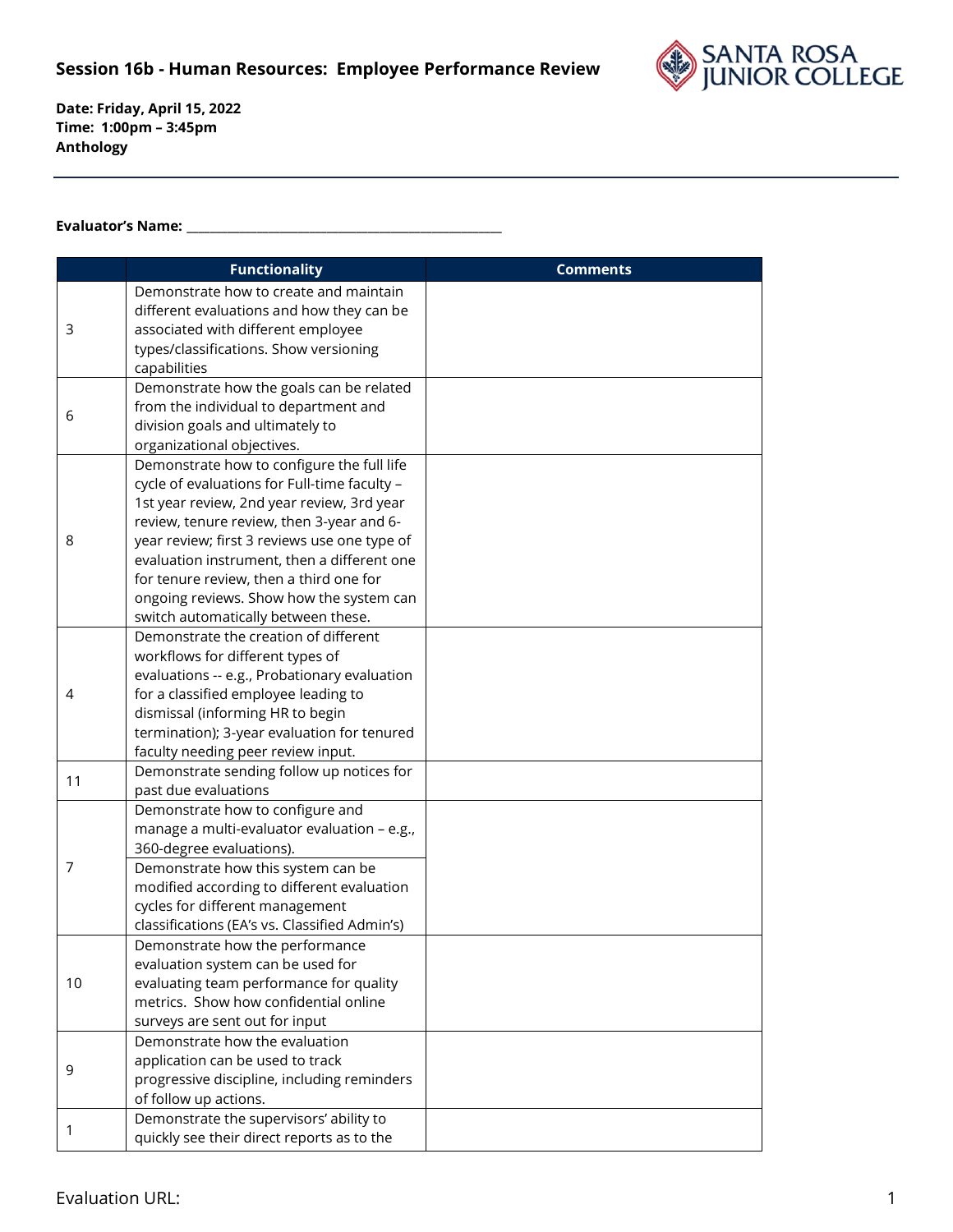## **Session 16b - Human Resources: Employee Performance Review**



**Date: Friday, April 15, 2022 Time: 1:00pm – 3:45pm Anthology**

## **Evaluator's Name: \_\_\_\_\_\_\_\_\_\_\_\_\_\_\_\_\_\_\_\_\_\_\_\_\_\_\_\_\_\_\_\_\_\_\_\_\_\_\_\_\_\_\_\_\_\_\_\_\_\_\_\_\_\_**

|    | <b>Functionality</b>                                                            | <b>Comments</b> |
|----|---------------------------------------------------------------------------------|-----------------|
|    | Demonstrate how to create and maintain                                          |                 |
| 3  | different evaluations and how they can be                                       |                 |
|    | associated with different employee                                              |                 |
|    | types/classifications. Show versioning                                          |                 |
|    | capabilities                                                                    |                 |
|    | Demonstrate how the goals can be related                                        |                 |
| 6  | from the individual to department and                                           |                 |
|    | division goals and ultimately to                                                |                 |
|    | organizational objectives.                                                      |                 |
|    | Demonstrate how to configure the full life                                      |                 |
|    | cycle of evaluations for Full-time faculty -                                    |                 |
|    | 1st year review, 2nd year review, 3rd year                                      |                 |
|    | review, tenure review, then 3-year and 6-                                       |                 |
| 8  | year review; first 3 reviews use one type of                                    |                 |
|    | evaluation instrument, then a different one                                     |                 |
|    | for tenure review, then a third one for                                         |                 |
|    | ongoing reviews. Show how the system can                                        |                 |
|    | switch automatically between these.                                             |                 |
|    | Demonstrate the creation of different                                           |                 |
|    | workflows for different types of                                                |                 |
|    | evaluations -- e.g., Probationary evaluation                                    |                 |
| 4  | for a classified employee leading to                                            |                 |
|    | dismissal (informing HR to begin                                                |                 |
|    | termination); 3-year evaluation for tenured                                     |                 |
|    | faculty needing peer review input.                                              |                 |
| 11 | Demonstrate sending follow up notices for<br>past due evaluations               |                 |
|    |                                                                                 |                 |
|    | Demonstrate how to configure and<br>manage a multi-evaluator evaluation - e.g., |                 |
| 7  | 360-degree evaluations).                                                        |                 |
|    | Demonstrate how this system can be                                              |                 |
|    | modified according to different evaluation                                      |                 |
|    | cycles for different management                                                 |                 |
|    | classifications (EA's vs. Classified Admin's)                                   |                 |
| 10 | Demonstrate how the performance                                                 |                 |
|    | evaluation system can be used for                                               |                 |
|    | evaluating team performance for quality                                         |                 |
|    | metrics. Show how confidential online                                           |                 |
|    | surveys are sent out for input                                                  |                 |
| 9  | Demonstrate how the evaluation                                                  |                 |
|    | application can be used to track                                                |                 |
|    |                                                                                 |                 |
|    |                                                                                 |                 |
|    | progressive discipline, including reminders                                     |                 |
| 1  | of follow up actions.<br>Demonstrate the supervisors' ability to                |                 |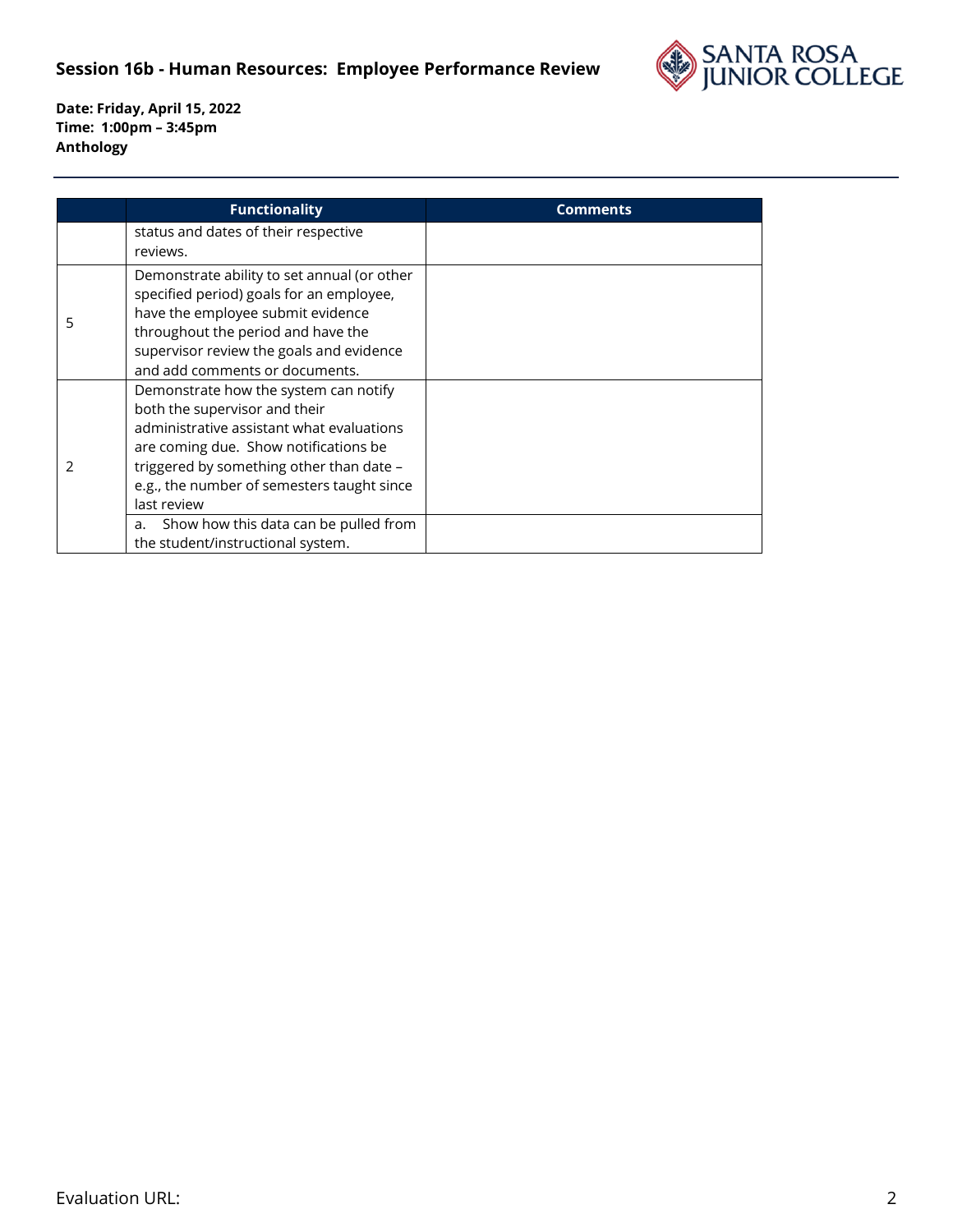## **Session 16b - Human Resources: Employee Performance Review**



**Date: Friday, April 15, 2022 Time: 1:00pm – 3:45pm Anthology**

|               | <b>Functionality</b>                                                                                                                                                                                                                                                  | <b>Comments</b> |
|---------------|-----------------------------------------------------------------------------------------------------------------------------------------------------------------------------------------------------------------------------------------------------------------------|-----------------|
|               | status and dates of their respective<br>reviews.                                                                                                                                                                                                                      |                 |
| 5             | Demonstrate ability to set annual (or other<br>specified period) goals for an employee,<br>have the employee submit evidence<br>throughout the period and have the<br>supervisor review the goals and evidence<br>and add comments or documents.                      |                 |
| $\mathcal{P}$ | Demonstrate how the system can notify<br>both the supervisor and their<br>administrative assistant what evaluations<br>are coming due. Show notifications be<br>triggered by something other than date -<br>e.g., the number of semesters taught since<br>last review |                 |
|               | Show how this data can be pulled from<br>a.<br>the student/instructional system.                                                                                                                                                                                      |                 |